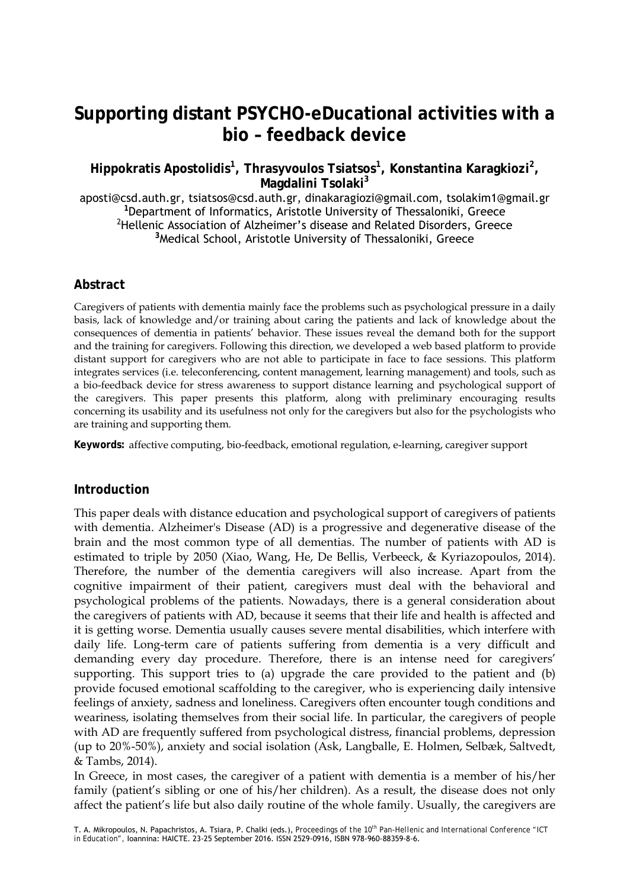# **Supporting distant PSYCHO-eDucational activities with a bio – feedback device**

**Hippokratis Apostolidis<sup>1</sup> , Thrasyvoulos Tsiatsos<sup>1</sup> , Konstantina Karagkiozi<sup>2</sup> , Magdalini Tsolaki<sup>3</sup>**

aposti@csd.auth.gr, tsiatsos@csd.auth.gr, dinakaragiozi@gmail.com, tsolakim1@gmail.gr **<sup>1</sup>** <sup>1</sup>Department of Informatics, Aristotle University of Thessaloniki, Greece <sup>2</sup>Hellenic Association of Alzheimer's disease and Related Disorders, Greece <sup>3</sup>Medical School, Aristotle University of Thessaloniki, Greece

### **Abstract**

Caregivers of patients with dementia mainly face the problems such as psychological pressure in a daily basis, lack of knowledge and/or training about caring the patients and lack of knowledge about the consequences of dementia in patients' behavior. These issues reveal the demand both for the support and the training for caregivers. Following this direction, we developed a web based platform to provide distant support for caregivers who are not able to participate in face to face sessions. This platform integrates services (i.e. teleconferencing, content management, learning management) and tools, such as a bio-feedback device for stress awareness to support distance learning and psychological support of the caregivers. This paper presents this platform, along with preliminary encouraging results concerning its usability and its usefulness not only for the caregivers but also for the psychologists who are training and supporting them.

**Keywords:** affective computing, bio-feedback, emotional regulation, e-learning, caregiver support

### **Introduction**

This paper deals with distance education and psychological support of caregivers of patients with dementia. Alzheimer's Disease (AD) is a progressive and degenerative disease of the brain and the most common type of all dementias. The number of patients with AD is estimated to triple by 2050 (Xiao, Wang, He, De Bellis, Verbeeck, & Kyriazopoulos, 2014). Therefore, the number of the dementia caregivers will also increase. Apart from the cognitive impairment of their patient, caregivers must deal with the behavioral and psychological problems of the patients. Nowadays, there is a general consideration about the caregivers of patients with AD, because it seems that their life and health is affected and it is getting worse. Dementia usually causes severe mental disabilities, which interfere with daily life. Long-term care of patients suffering from dementia is a very difficult and demanding every day procedure. Therefore, there is an intense need for caregivers' supporting. This support tries to (a) upgrade the care provided to the patient and (b) provide focused emotional scaffolding to the caregiver, who is experiencing daily intensive feelings of anxiety, sadness and loneliness. Caregivers often encounter tough conditions and weariness, isolating themselves from their social life. In particular, the caregivers of people with AD are frequently suffered from psychological distress, financial problems, depression (up to 20%-50%), anxiety and social isolation (Ask, Langballe, E. Holmen, Selbæk, Saltvedt, & Tambs, 2014).

In Greece, in most cases, the caregiver of a patient with dementia is a member of his/her family (patient's sibling or one of his/her children). As a result, the disease does not only affect the patient's life but also daily routine of the whole family. Usually, the caregivers are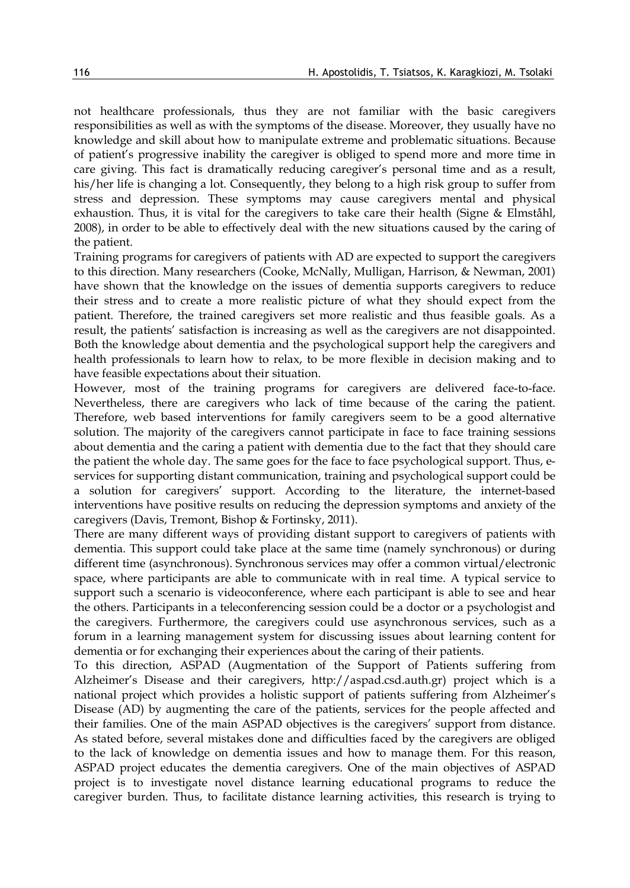not healthcare professionals, thus they are not familiar with the basic caregivers responsibilities as well as with the symptoms of the disease. Moreover, they usually have no knowledge and skill about how to manipulate extreme and problematic situations. Because of patient's progressive inability the caregiver is obliged to spend more and more time in care giving. This fact is dramatically reducing caregiver's personal time and as a result, his/her life is changing a lot. Consequently, they belong to a high risk group to suffer from stress and depression. These symptoms may cause caregivers mental and physical exhaustion. Thus, it is vital for the caregivers to take care their health (Signe & Elmståhl, 2008), in order to be able to effectively deal with the new situations caused by the caring of the patient.

Training programs for caregivers of patients with AD are expected to support the caregivers to this direction. Many researchers (Cooke, McNally, Mulligan, Harrison, & Newman, 2001) have shown that the knowledge on the issues of dementia supports caregivers to reduce their stress and to create a more realistic picture of what they should expect from the patient. Therefore, the trained caregivers set more realistic and thus feasible goals. As a result, the patients' satisfaction is increasing as well as the caregivers are not disappointed. Both the knowledge about dementia and the psychological support help the caregivers and health professionals to learn how to relax, to be more flexible in decision making and to have feasible expectations about their situation.

However, most of the training programs for caregivers are delivered face-to-face. Nevertheless, there are caregivers who lack of time because of the caring the patient. Therefore, web based interventions for family caregivers seem to be a good alternative solution. The majority of the caregivers cannot participate in face to face training sessions about dementia and the caring a patient with dementia due to the fact that they should care the patient the whole day. The same goes for the face to face psychological support. Thus, eservices for supporting distant communication, training and psychological support could be a solution for caregivers' support. According to the literature, the internet-based interventions have positive results on reducing the depression symptoms and anxiety of the caregivers (Davis, Tremont, Bishop & Fortinsky, 2011).

There are many different ways of providing distant support to caregivers of patients with dementia. This support could take place at the same time (namely synchronous) or during different time (asynchronous). Synchronous services may offer a common virtual/electronic space, where participants are able to communicate with in real time. A typical service to support such a scenario is videoconference, where each participant is able to see and hear the others. Participants in a teleconferencing session could be a doctor or a psychologist and the caregivers. Furthermore, the caregivers could use asynchronous services, such as a forum in a learning management system for discussing issues about learning content for dementia or for exchanging their experiences about the caring of their patients.

To this direction, ASPAD (Augmentation of the Support of Patients suffering from Alzheimer's Disease and their caregivers, http://aspad.csd.auth.gr) project which is a national project which provides a holistic support of patients suffering from Alzheimer's Disease (AD) by augmenting the care of the patients, services for the people affected and their families. One of the main ASPAD objectives is the caregivers' support from distance. As stated before, several mistakes done and difficulties faced by the caregivers are obliged to the lack of knowledge on dementia issues and how to manage them. For this reason, ASPAD project educates the dementia caregivers. One of the main objectives of ASPAD project is to investigate novel distance learning educational programs to reduce the caregiver burden. Thus, to facilitate distance learning activities, this research is trying to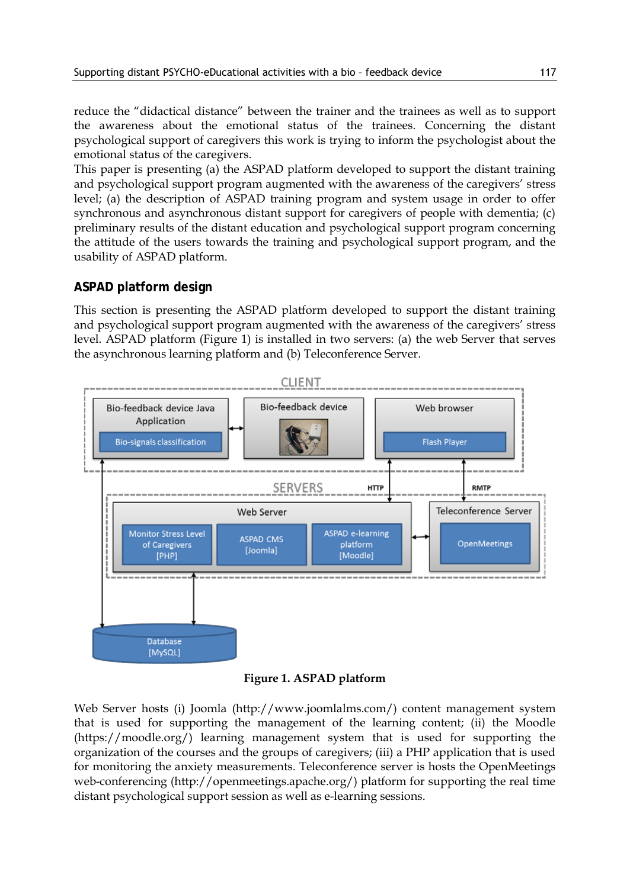reduce the "didactical distance" between the trainer and the trainees as well as to support the awareness about the emotional status of the trainees. Concerning the distant psychological support of caregivers this work is trying to inform the psychologist about the emotional status of the caregivers.

This paper is presenting (a) the ASPAD platform developed to support the distant training and psychological support program augmented with the awareness of the caregivers' stress level; (a) the description of ASPAD training program and system usage in order to offer synchronous and asynchronous distant support for caregivers of people with dementia; (c) preliminary results of the distant education and psychological support program concerning the attitude of the users towards the training and psychological support program, and the usability of ASPAD platform.

### **ASPAD platform design**

This section is presenting the ASPAD platform developed to support the distant training and psychological support program augmented with the awareness of the caregivers' stress level. ASPAD platform (Figure 1) is installed in two servers: (a) the web Server that serves the asynchronous learning platform and (b) Teleconference Server.



**Figure 1. ASPAD platform**

Web Server hosts (i) Joomla (http://www.joomlalms.com/) content management system that is used for supporting the management of the learning content; (ii) the Moodle (https://moodle.org/) learning management system that is used for supporting the organization of the courses and the groups of caregivers; (iii) a PHP application that is used for monitoring the anxiety measurements. Teleconference server is hosts the OpenMeetings web-conferencing (http://openmeetings.apache.org/) platform for supporting the real time distant psychological support session as well as e-learning sessions.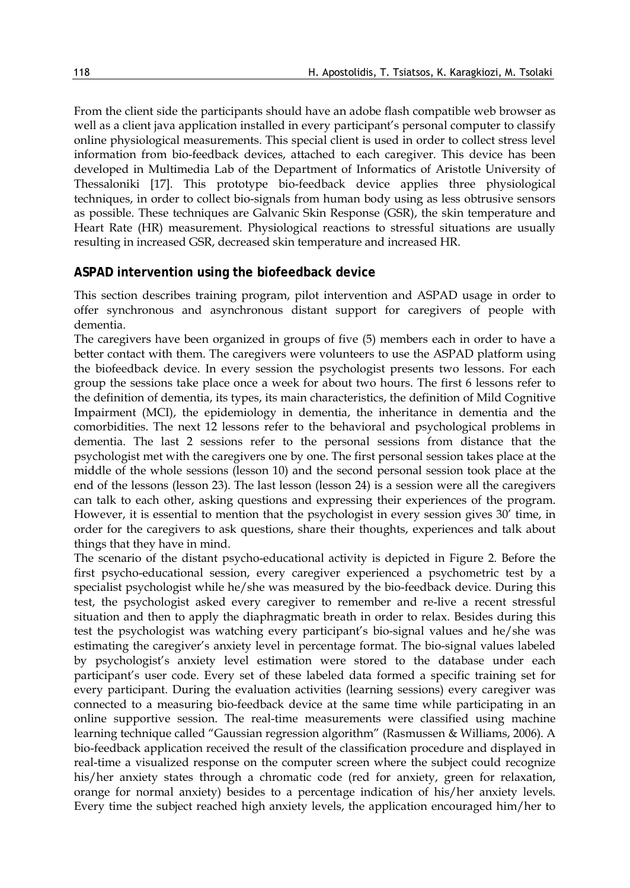From the client side the participants should have an adobe flash compatible web browser as well as a client java application installed in every participant's personal computer to classify online physiological measurements. This special client is used in order to collect stress level information from bio-feedback devices, attached to each caregiver. This device has been developed in Multimedia Lab of the Department of Informatics of Aristotle University of Thessaloniki [17]. This prototype bio-feedback device applies three physiological techniques, in order to collect bio-signals from human body using as less obtrusive sensors as possible. These techniques are Galvanic Skin Response (GSR), the skin temperature and Heart Rate (HR) measurement. Physiological reactions to stressful situations are usually resulting in increased GSR, decreased skin temperature and increased HR.

#### **ASPAD intervention using the biofeedback device**

This section describes training program, pilot intervention and ASPAD usage in order to offer synchronous and asynchronous distant support for caregivers of people with dementia.

The caregivers have been organized in groups of five (5) members each in order to have a better contact with them. The caregivers were volunteers to use the ASPAD platform using the biofeedback device. In every session the psychologist presents two lessons. For each group the sessions take place once a week for about two hours. The first 6 lessons refer to the definition of dementia, its types, its main characteristics, the definition of Mild Cognitive Impairment (MCI), the epidemiology in dementia, the inheritance in dementia and the comorbidities. The next 12 lessons refer to the behavioral and psychological problems in dementia. The last 2 sessions refer to the personal sessions from distance that the psychologist met with the caregivers one by one. The first personal session takes place at the middle of the whole sessions (lesson 10) and the second personal session took place at the end of the lessons (lesson 23). The last lesson (lesson 24) is a session were all the caregivers can talk to each other, asking questions and expressing their experiences of the program. However, it is essential to mention that the psychologist in every session gives 30' time, in order for the caregivers to ask questions, share their thoughts, experiences and talk about things that they have in mind.

The scenario of the distant psycho-educational activity is depicted in Figure 2. Before the first psycho-educational session, every caregiver experienced a psychometric test by a specialist psychologist while he/she was measured by the bio-feedback device. During this test, the psychologist asked every caregiver to remember and re-live a recent stressful situation and then to apply the diaphragmatic breath in order to relax. Besides during this test the psychologist was watching every participant's bio-signal values and he/she was estimating the caregiver's anxiety level in percentage format. The bio-signal values labeled by psychologist's anxiety level estimation were stored to the database under each participant's user code. Every set of these labeled data formed a specific training set for every participant. During the evaluation activities (learning sessions) every caregiver was connected to a measuring bio-feedback device at the same time while participating in an online supportive session. The real-time measurements were classified using machine learning technique called "Gaussian regression algorithm" (Rasmussen & Williams, 2006). A bio-feedback application received the result of the classification procedure and displayed in real-time a visualized response on the computer screen where the subject could recognize his/her anxiety states through a chromatic code (red for anxiety, green for relaxation, orange for normal anxiety) besides to a percentage indication of his/her anxiety levels. Every time the subject reached high anxiety levels, the application encouraged him/her to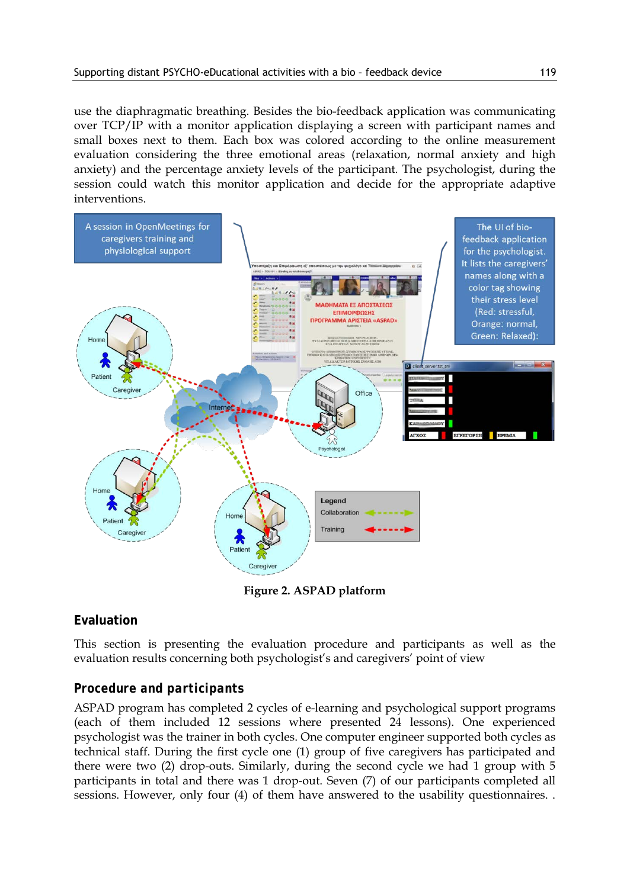use the diaphragmatic breathing. Besides the bio-feedback application was communicating over TCP/IP with a monitor application displaying a screen with participant names and small boxes next to them. Each box was colored according to the online measurement evaluation considering the three emotional areas (relaxation, normal anxiety and high anxiety) and the percentage anxiety levels of the participant. The psychologist, during the session could watch this monitor application and decide for the appropriate adaptive interventions.



**Figure 2. ASPAD platform**

# **Evaluation**

This section is presenting the evaluation procedure and participants as well as the evaluation results concerning both psychologist's and caregivers' point of view

# *Procedure and participants*

ASPAD program has completed 2 cycles of e-learning and psychological support programs (each of them included 12 sessions where presented 24 lessons). One experienced psychologist was the trainer in both cycles. One computer engineer supported both cycles as technical staff. During the first cycle one (1) group of five caregivers has participated and there were two (2) drop-outs. Similarly, during the second cycle we had 1 group with 5 participants in total and there was 1 drop-out. Seven (7) of our participants completed all sessions. However, only four (4) of them have answered to the usability questionnaires. .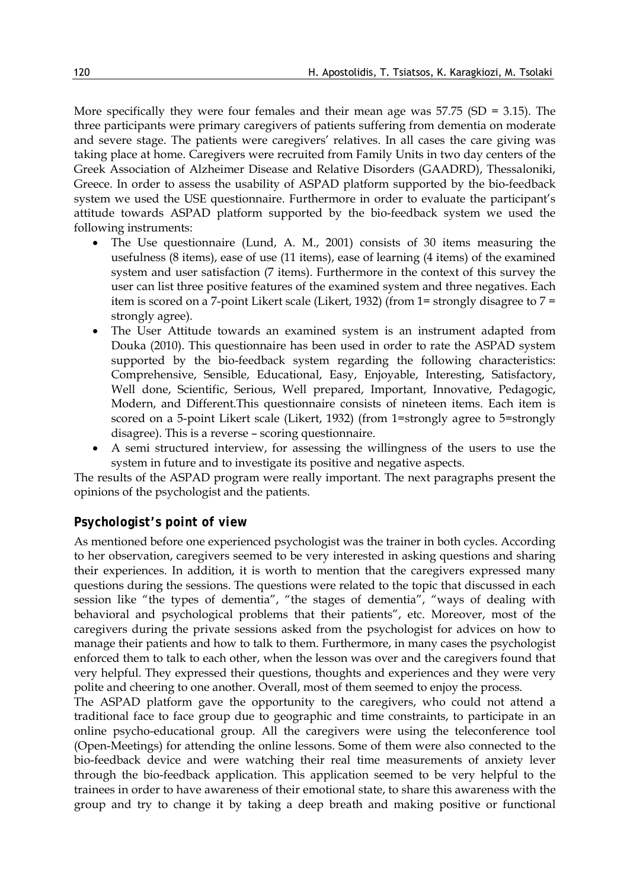More specifically they were four females and their mean age was  $57.75$  (SD = 3.15). The three participants were primary caregivers of patients suffering from dementia on moderate and severe stage. The patients were caregivers' relatives. In all cases the care giving was taking place at home. Caregivers were recruited from Family Units in two day centers of the Greek Association of Alzheimer Disease and Relative Disorders (GAADRD), Thessaloniki, Greece. In order to assess the usability of ASPAD platform supported by the bio-feedback system we used the USE questionnaire. Furthermore in order to evaluate the participant's attitude towards ASPAD platform supported by the bio-feedback system we used the following instruments:

- The Use questionnaire (Lund, A. M., 2001) consists of 30 items measuring the usefulness (8 items), ease of use (11 items), ease of learning (4 items) of the examined system and user satisfaction (7 items). Furthermore in the context of this survey the user can list three positive features of the examined system and three negatives. Each item is scored on a 7-point Likert scale (Likert, 1932) (from 1= strongly disagree to 7 = strongly agree).
- The User Attitude towards an examined system is an instrument adapted from Douka (2010). This questionnaire has been used in order to rate the ASPAD system supported by the bio-feedback system regarding the following characteristics: Comprehensive, Sensible, Educational, Easy, Enjoyable, Interesting, Satisfactory, Well done, Scientific, Serious, Well prepared, Important, Innovative, Pedagogic, Modern, and Different.This questionnaire consists of nineteen items. Each item is scored on a 5-point Likert scale (Likert, 1932) (from 1=strongly agree to 5=strongly disagree). This is a reverse – scoring questionnaire.
- A semi structured interview, for assessing the willingness of the users to use the system in future and to investigate its positive and negative aspects.

The results of the ASPAD program were really important. The next paragraphs present the opinions of the psychologist and the patients.

### *Psychologist's point of view*

As mentioned before one experienced psychologist was the trainer in both cycles. According to her observation, caregivers seemed to be very interested in asking questions and sharing their experiences. In addition, it is worth to mention that the caregivers expressed many questions during the sessions. The questions were related to the topic that discussed in each session like "the types of dementia", "the stages of dementia", "ways of dealing with behavioral and psychological problems that their patients", etc. Moreover, most of the caregivers during the private sessions asked from the psychologist for advices on how to manage their patients and how to talk to them. Furthermore, in many cases the psychologist enforced them to talk to each other, when the lesson was over and the caregivers found that very helpful. They expressed their questions, thoughts and experiences and they were very polite and cheering to one another. Overall, most of them seemed to enjoy the process.

The ASPAD platform gave the opportunity to the caregivers, who could not attend a traditional face to face group due to geographic and time constraints, to participate in an online psycho-educational group. All the caregivers were using the teleconference tool (Open-Meetings) for attending the online lessons. Some of them were also connected to the bio-feedback device and were watching their real time measurements of anxiety lever through the bio-feedback application. This application seemed to be very helpful to the trainees in order to have awareness of their emotional state, to share this awareness with the group and try to change it by taking a deep breath and making positive or functional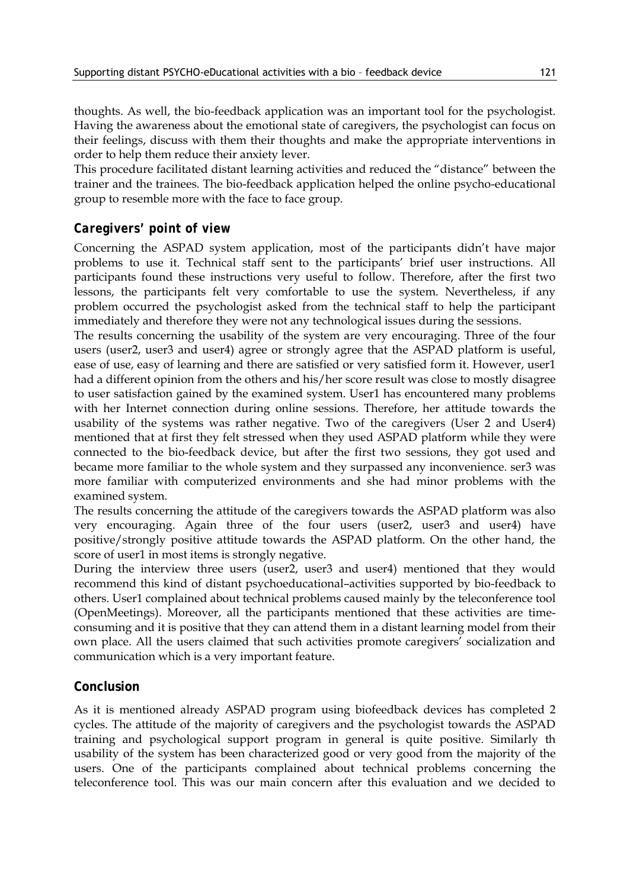thoughts. As well, the bio-feedback application was an important tool for the psychologist. Having the awareness about the emotional state of caregivers, the psychologist can focus on their feelings, discuss with them their thoughts and make the appropriate interventions in order to help them reduce their anxiety lever.

This procedure facilitated distant learning activities and reduced the "distance" between the trainer and the trainees. The bio-feedback application helped the online psycho-educational group to resemble more with the face to face group.

## *Caregivers' point of view*

Concerning the ASPAD system application, most of the participants didn't have major problems to use it. Technical staff sent to the participants' brief user instructions. All participants found these instructions very useful to follow. Therefore, after the first two lessons, the participants felt very comfortable to use the system. Nevertheless, if any problem occurred the psychologist asked from the technical staff to help the participant immediately and therefore they were not any technological issues during the sessions.

The results concerning the usability of the system are very encouraging. Three of the four users (user2, user3 and user4) agree or strongly agree that the ASPAD platform is useful, ease of use, easy of learning and there are satisfied or very satisfied form it. However, user1 had a different opinion from the others and his/her score result was close to mostly disagree to user satisfaction gained by the examined system. User1 has encountered many problems with her Internet connection during online sessions. Therefore, her attitude towards the usability of the systems was rather negative. Two of the caregivers (User 2 and User4) mentioned that at first they felt stressed when they used ASPAD platform while they were connected to the bio-feedback device, but after the first two sessions, they got used and became more familiar to the whole system and they surpassed any inconvenience. ser3 was more familiar with computerized environments and she had minor problems with the examined system.

The results concerning the attitude of the caregivers towards the ASPAD platform was also very encouraging. Again three of the four users (user2, user3 and user4) have positive/strongly positive attitude towards the ASPAD platform. On the other hand, the score of user1 in most items is strongly negative.

During the interview three users (user2, user3 and user4) mentioned that they would recommend this kind of distant psychoeducational–activities supported by bio-feedback to others. User1 complained about technical problems caused mainly by the teleconference tool (OpenMeetings). Moreover, all the participants mentioned that these activities are timeconsuming and it is positive that they can attend them in a distant learning model from their own place. All the users claimed that such activities promote caregivers' socialization and communication which is a very important feature.

### **Conclusion**

As it is mentioned already ASPAD program using biofeedback devices has completed 2 cycles. The attitude of the majority of caregivers and the psychologist towards the ASPAD training and psychological support program in general is quite positive. Similarly th usability of the system has been characterized good or very good from the majority of the users. One of the participants complained about technical problems concerning the teleconference tool. This was our main concern after this evaluation and we decided to